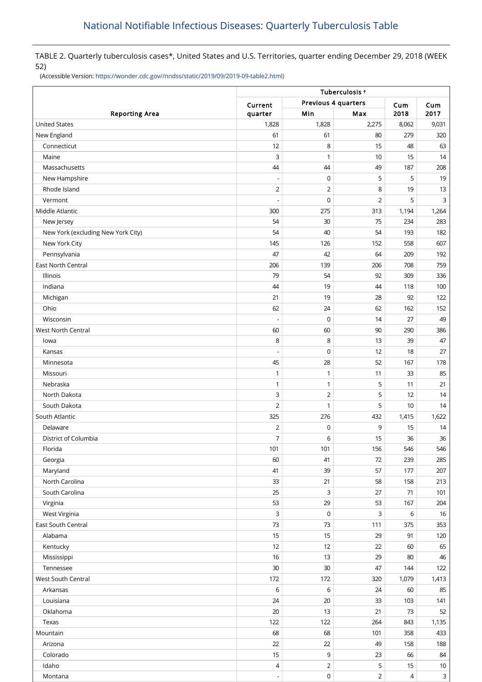TABLE 2. Quarterly tuberculosis cases\*, United States and U.S. Territories, quarter ending December 29, 2018 (WEEK 52)

(Accessible Version: [https://wonder.cdc.gov//nndss/static/2019/09/2019-09-table2.html\)](https://wonder.cdc.gov//nndss/static/2019/09/2019-09-table2.html)

|                                    | Tuberculosis +           |                     |                |       |              |  |  |
|------------------------------------|--------------------------|---------------------|----------------|-------|--------------|--|--|
|                                    | Current                  | Previous 4 quarters |                | Cum   | Cum          |  |  |
| <b>Reporting Area</b>              | quarter                  | Min                 | Max            | 2018  | 2017         |  |  |
| <b>United States</b>               | 1,828                    | 1,828               | 2,275          | 8,062 | 9,031        |  |  |
| New England                        | 61                       | 61                  | 80             | 279   | 320          |  |  |
| Connecticut                        | 12                       | 8                   | 15             | 48    | 63           |  |  |
| Maine                              | 3                        | 1                   | 10             | 15    | 14           |  |  |
| Massachusetts                      | 44                       | 44                  | 49             | 187   | 208          |  |  |
| New Hampshire                      |                          | $\mathbf 0$         | 5              | 5     | 19           |  |  |
| Rhode Island                       | $\overline{2}$           | $\overline{2}$      | 8              | 19    | 13           |  |  |
| Vermont                            |                          | $\mathbf 0$         | $\overline{2}$ | 5     | 3            |  |  |
| Middle Atlantic                    | 300                      | 275                 | 313            | 1,194 | 1,264        |  |  |
| New Jersey                         | 54                       | 30                  | 75             | 234   | 283          |  |  |
| New York (excluding New York City) | 54                       | 40                  | 54             | 193   | 182          |  |  |
| New York City                      | 145                      | 126                 | 152            | 558   | 607          |  |  |
| Pennsylvania                       | 47                       | 42                  | 64             | 209   | 192          |  |  |
| East North Central                 | 206                      | 139                 | 206            | 708   | 759          |  |  |
| Illinois                           | 79                       | 54                  | 92             | 309   | 336          |  |  |
| Indiana                            | 44                       | 19                  | 44             | 118   | 100          |  |  |
| Michigan                           | 21                       | 19                  | 28             | 92    | 122          |  |  |
| Ohio                               | 62                       | 24                  | 62             | 162   | 152          |  |  |
| Wisconsin                          | $\overline{\phantom{a}}$ | $\mathbf 0$         | 14             | 27    | 49           |  |  |
| <b>West North Central</b>          | 60                       | 60                  | 90             | 290   | 386          |  |  |
| lowa                               | 8                        | 8                   | 13             | 39    | 47           |  |  |
| Kansas                             | $\overline{\phantom{a}}$ | $\mathbf 0$         | 12             | 18    | 27           |  |  |
| Minnesota                          | 45                       | 28                  | 52             | 167   | 178          |  |  |
| Missouri                           | 1                        | $\mathbf{1}$        | 11             | 33    | 85           |  |  |
| Nebraska                           | 1                        | $\mathbf{1}$        | 5              | 11    | 21           |  |  |
| North Dakota                       | 3                        | $\mathbf 2$         | 5              | 12    | 14           |  |  |
| South Dakota                       | $\overline{2}$           | 1                   | 5              | 10    | 14           |  |  |
| South Atlantic                     | 325                      | 276                 | 432            | 1,415 | 1,622        |  |  |
| Delaware                           | $\overline{2}$           | 0                   | 9              | 15    | 14           |  |  |
| District of Columbia               | 7                        | 6                   | 15             | 36    | 36           |  |  |
| Florida                            | 101                      | 101                 | 156            | 546   | 546          |  |  |
| Georgia                            | 60                       | 41                  | 72             | 239   | 285          |  |  |
| Maryland                           | 41                       | 39                  | 57             | 177   | 207          |  |  |
| North Carolina                     | 33                       | 21                  | 58             | 158   | 213          |  |  |
| South Carolina                     | 25                       | 3                   | 27             | 71    | 101          |  |  |
| Virginia                           | 53                       | 29                  | 53             | 167   | 204          |  |  |
| West Virginia                      | 3                        | $\pmb{0}$           | 3              | 6     | 16           |  |  |
| East South Central                 | 73                       | 73                  | 111            | 375   | 353          |  |  |
| Alabama                            | 15                       | 15                  | 29             | 91    | 120          |  |  |
| Kentucky                           | 12                       | 12                  | 22             | 60    | 65           |  |  |
| Mississippi                        | 16                       | 13                  | 29             | 80    | 46           |  |  |
| Tennessee                          | $30\,$                   | 30                  | 47             | 144   | 122          |  |  |
| West South Central                 | 172                      | 172                 | 320            | 1,079 | 1,413        |  |  |
| Arkansas                           | 6                        | 6                   | 24             | 60    | 85           |  |  |
| Louisiana                          | 24                       | 20                  | 33             | 103   | 141          |  |  |
| Oklahoma                           | $20\,$                   | 13                  | 21             | 73    | 52           |  |  |
| Texas                              | 122                      | 122                 | 264            | 843   | 1,135        |  |  |
| Mountain                           | 68                       | 68                  | 101            | 358   | 433          |  |  |
| Arizona                            | 22                       | 22                  | 49             | 158   | 188          |  |  |
| Colorado                           | 15                       | 9                   | 23             | 66    | 84           |  |  |
| Idaho                              | 4                        | $\mathbf 2$         | 5              | 15    | 10           |  |  |
| Montana                            | $\overline{\phantom{a}}$ | $\mathsf 0$         | $\overline{2}$ | 4     | $\mathbf{3}$ |  |  |
|                                    |                          |                     |                |       |              |  |  |